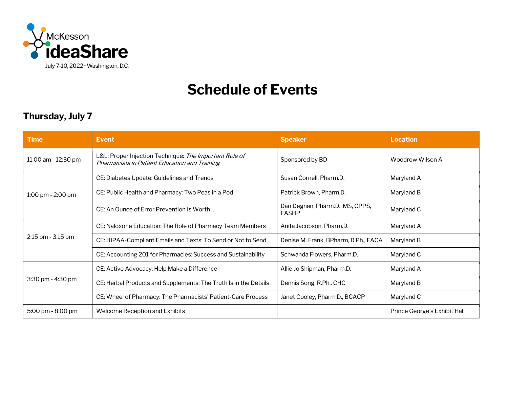

## **Schedule of Events**

## **Thursday, July 7**

| <b>Time</b>         | Event                                                                                                   | <b>Speaker</b>                                  | <b>Location</b>              |
|---------------------|---------------------------------------------------------------------------------------------------------|-------------------------------------------------|------------------------------|
| 11:00 am - 12:30 pm | L&L: Proper Injection Technique: The Important Role of<br>Pharmacists in Patient Education and Training | Sponsored by BD                                 | Woodrow Wilson A             |
| 1:00 pm - 2:00 pm   | CE: Diabetes Update: Guidelines and Trends                                                              | Susan Cornell, Pharm.D.                         | Maryland A                   |
|                     | CE: Public Health and Pharmacy: Two Peas in a Pod                                                       | Patrick Brown, Pharm.D.                         | Maryland B                   |
|                     | CE: An Ounce of Error Prevention Is Worth                                                               | Dan Degnan, Pharm.D., MS, CPPS,<br><b>FASHP</b> | Maryland C                   |
| 2:15 pm - 3:15 pm   | CE: Naloxone Education: The Role of Pharmacy Team Members                                               | Anita Jacobson, Pharm.D.                        | Maryland A                   |
|                     | CE: HIPAA-Compliant Emails and Texts: To Send or Not to Send                                            | Denise M. Frank, BPharm, R.Ph., FACA            | Maryland B                   |
|                     | CE: Accounting 201 for Pharmacies: Success and Sustainability                                           | Schwanda Flowers, Pharm.D.                      | Maryland C                   |
| 3:30 pm - 4:30 pm   | CE: Active Advocacy: Help Make a Difference                                                             | Allie Jo Shipman, Pharm.D.                      | Maryland A                   |
|                     | CE: Herbal Products and Supplements: The Truth Is in the Details                                        | Dennis Song, R.Ph., CHC                         | Maryland B                   |
|                     | CE: Wheel of Pharmacy: The Pharmacists' Patient-Care Process                                            | Janet Cooley, Pharm.D., BCACP                   | Maryland C                   |
| 5:00 pm - 8:00 pm   | Welcome Reception and Exhibits                                                                          |                                                 | Prince George's Exhibit Hall |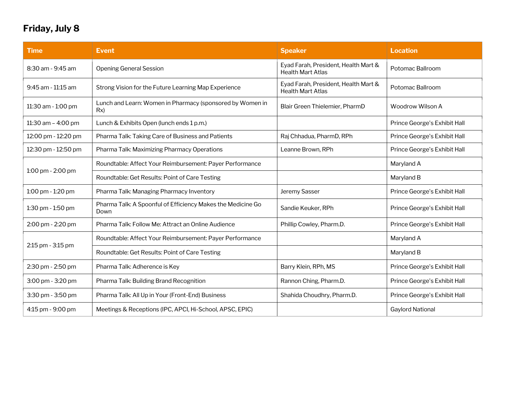## **Friday, July 8**

| <b>Time</b>          | <b>Event</b>                                                        | <b>Speaker</b>                                                   | <b>Location</b>              |
|----------------------|---------------------------------------------------------------------|------------------------------------------------------------------|------------------------------|
| 8:30 am - 9:45 am    | <b>Opening General Session</b>                                      | Eyad Farah, President, Health Mart &<br><b>Health Mart Atlas</b> | Potomac Ballroom             |
| 9:45 am - 11:15 am   | Strong Vision for the Future Learning Map Experience                | Eyad Farah, President, Health Mart &<br><b>Health Mart Atlas</b> | Potomac Ballroom             |
| 11:30 am - 1:00 pm   | Lunch and Learn: Women in Pharmacy (sponsored by Women in<br>Rx)    | Blair Green Thielemier, PharmD                                   | Woodrow Wilson A             |
| 11:30 am $-$ 4:00 pm | Lunch & Exhibits Open (lunch ends 1 p.m.)                           |                                                                  | Prince George's Exhibit Hall |
| 12:00 pm - 12:20 pm  | Pharma Talk: Taking Care of Business and Patients                   | Raj Chhadua, PharmD, RPh                                         | Prince George's Exhibit Hall |
| 12:30 pm - 12:50 pm  | Pharma Talk: Maximizing Pharmacy Operations                         | Leanne Brown, RPh                                                | Prince George's Exhibit Hall |
| 1:00 pm - 2:00 pm    | Roundtable: Affect Your Reimbursement: Payer Performance            |                                                                  | Maryland A                   |
|                      | Roundtable: Get Results: Point of Care Testing                      |                                                                  | Maryland B                   |
| 1:00 pm - 1:20 pm    | Pharma Talk: Managing Pharmacy Inventory                            | Jeremy Sasser                                                    | Prince George's Exhibit Hall |
| 1:30 pm - 1:50 pm    | Pharma Talk: A Spoonful of Efficiency Makes the Medicine Go<br>Down | Sandie Keuker, RPh                                               | Prince George's Exhibit Hall |
| 2:00 pm - 2:20 pm    | Pharma Talk: Follow Me: Attract an Online Audience                  | Phillip Cowley, Pharm.D.                                         | Prince George's Exhibit Hall |
| 2:15 pm - 3:15 pm    | Roundtable: Affect Your Reimbursement: Payer Performance            |                                                                  | Maryland A                   |
|                      | Roundtable: Get Results: Point of Care Testing                      |                                                                  | Maryland B                   |
| 2:30 pm - 2:50 pm    | Pharma Talk: Adherence is Key                                       | Barry Klein, RPh, MS                                             | Prince George's Exhibit Hall |
| 3:00 pm - 3:20 pm    | Pharma Talk: Building Brand Recognition                             | Rannon Ching, Pharm.D.                                           | Prince George's Exhibit Hall |
| 3:30 pm - 3:50 pm    | Pharma Talk: All Up in Your (Front-End) Business                    | Shahida Choudhry, Pharm.D.                                       | Prince George's Exhibit Hall |
| 4:15 pm - 9:00 pm    | Meetings & Receptions (IPC, APCI, Hi-School, APSC, EPIC)            |                                                                  | <b>Gaylord National</b>      |